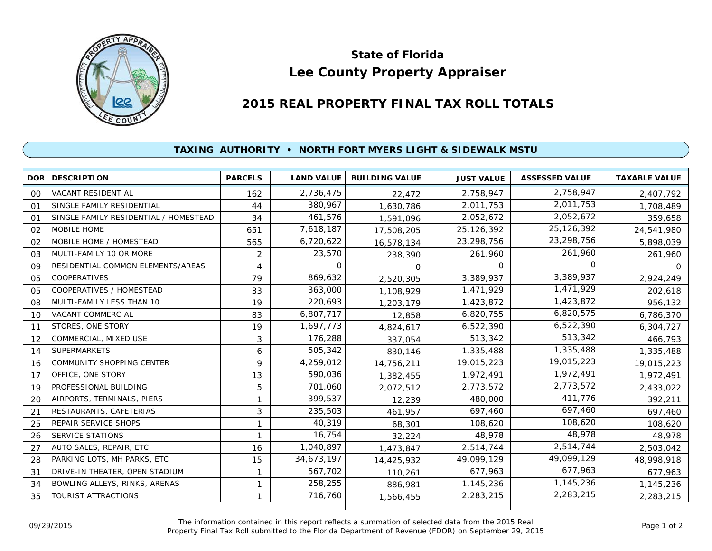

## **Lee County Property Appraiser State of Florida**

## **2015 REAL PROPERTY FINAL TAX ROLL TOTALS**

## **TAXING AUTHORITY • NORTH FORT MYERS LIGHT & SIDEWALK MSTU**

|                | DOR DESCRIPTION                       | <b>PARCELS</b> | <b>LAND VALUE</b> | <b>BUILDING VALUE</b> | <b>JUST VALUE</b> | <b>ASSESSED VALUE</b> | <b>TAXABLE VALUE</b> |
|----------------|---------------------------------------|----------------|-------------------|-----------------------|-------------------|-----------------------|----------------------|
| $00 \,$        | <b>VACANT RESIDENTIAL</b>             | 162            | 2,736,475         | 22,472                | 2,758,947         | 2,758,947             | 2,407,792            |
| 01             | SINGLE FAMILY RESIDENTIAL             | 44             | 380,967           | 1,630,786             | 2,011,753         | 2,011,753             | 1,708,489            |
| 01             | SINGLE FAMILY RESIDENTIAL / HOMESTEAD | 34             | 461,576           | 1,591,096             | 2,052,672         | 2,052,672             | 359,658              |
| 02             | MOBILE HOME                           | 651            | 7,618,187         | 17,508,205            | 25,126,392        | 25, 126, 392          | 24,541,980           |
| 02             | MOBILE HOME / HOMESTEAD               | 565            | 6,720,622         | 16,578,134            | 23,298,756        | 23,298,756            | 5,898,039            |
| 03             | MULTI-FAMILY 10 OR MORE               | 2              | 23,570            | 238,390               | 261,960           | 261,960               | 261,960              |
| 09             | RESIDENTIAL COMMON ELEMENTS/AREAS     | 4              | $\Omega$          | O                     | $\Omega$          | ∩                     | $\Omega$             |
| 05             | COOPERATIVES                          | 79             | 869,632           | 2,520,305             | 3,389,937         | 3,389,937             | 2,924,249            |
| 0 <sub>5</sub> | <b>COOPERATIVES / HOMESTEAD</b>       | 33             | 363,000           | 1,108,929             | 1,471,929         | 1,471,929             | 202,618              |
| 08             | MULTI-FAMILY LESS THAN 10             | 19             | 220,693           | 1,203,179             | 1,423,872         | 1,423,872             | 956,132              |
| 10             | VACANT COMMERCIAL                     | 83             | 6,807,717         | 12,858                | 6,820,755         | 6,820,575             | 6,786,370            |
| 11             | STORES, ONE STORY                     | 19             | 1,697,773         | 4,824,617             | 6,522,390         | 6,522,390             | 6,304,727            |
| 12             | COMMERCIAL, MIXED USE                 | 3              | 176,288           | 337,054               | 513,342           | 513,342               | 466,793              |
| 14             | <b>SUPERMARKETS</b>                   | 6              | 505,342           | 830,146               | 1,335,488         | 1,335,488             | 1,335,488            |
| 16             | <b>COMMUNITY SHOPPING CENTER</b>      | 9              | 4,259,012         | 14,756,211            | 19,015,223        | 19,015,223            | 19,015,223           |
| 17             | OFFICE, ONE STORY                     | 13             | 590,036           | 1,382,455             | 1,972,491         | 1,972,491             | 1,972,491            |
| 19             | PROFESSIONAL BUILDING                 | 5              | 701,060           | 2,072,512             | 2,773,572         | 2,773,572             | 2,433,022            |
| 20             | AIRPORTS, TERMINALS, PIERS            | $\mathbf{1}$   | 399,537           | 12,239                | 480,000           | 411,776               | 392,211              |
| 21             | RESTAURANTS, CAFETERIAS               | 3              | 235,503           | 461.957               | 697,460           | 697,460               | 697,460              |
| 25             | REPAIR SERVICE SHOPS                  | 1              | 40,319            | 68,301                | 108,620           | 108,620               | 108,620              |
| 26             | <b>SERVICE STATIONS</b>               | 1              | 16,754            | 32,224                | 48,978            | 48,978                | 48,978               |
| 27             | AUTO SALES, REPAIR, ETC               | 16             | 1,040,897         | 1,473,847             | 2,514,744         | 2,514,744             | 2,503,042            |
| 28             | PARKING LOTS, MH PARKS, ETC           | 15             | 34,673,197        | 14,425,932            | 49,099,129        | 49,099,129            | 48,998,918           |
| 31             | DRIVE-IN THEATER, OPEN STADIUM        | 1              | 567,702           | 110,261               | 677,963           | 677,963               | 677,963              |
| 34             | BOWLING ALLEYS, RINKS, ARENAS         |                | 258,255           | 886,981               | 1,145,236         | 1,145,236             | 1,145,236            |
| 35             | <b>TOURIST ATTRACTIONS</b>            | 1              | 716,760           | 1,566,455             | 2,283,215         | 2,283,215             | 2,283,215            |
|                |                                       |                |                   |                       |                   |                       |                      |

The information contained in this report reflects a summation of selected data from the 2015 Real Ine information contained in this report reflects a summation of selected data from the 2015 Real<br>Property Final Tax Roll submitted to the Florida Department of Revenue (FDOR) on September 29, 2015